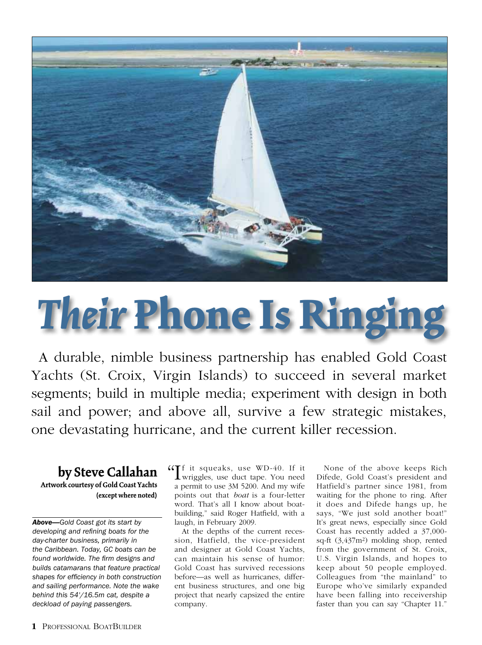

## *Their* Phone Is Ringing

A durable, nimble business partnership has enabled Gold Coast Yachts (St. Croix, Virgin Islands) to succeed in several market segments; build in multiple media; experiment with design in both sail and power; and above all, survive a few strategic mistakes, one devastating hurricane, and the current killer recession.

**by Steve Callahan Artwork courtesy of Gold Coast Yachts (except where noted)** 

*Above—Gold Coast got its start by developing and refining boats for the day-charter business, primarily in the Caribbean. Today, GC boats can be found worldwide. The firm designs and builds catamarans that feature practical shapes for efficiency in both construction and sailing performance. Note the wake behind this 54'/16.5m cat, despite a deckload of paying passengers.*

If it squeaks, use WD-40. If it wriggles, use duct tape. You need f it squeaks, use WD-40. If it "a permit to use 3M 5200. And my wife points out that *boat* is a four-letter word. That's all I know about boatbuilding," said Roger Hatfield, with a laugh, in February 2009.

At the depths of the current recession, Hatfield, the vice-president and designer at Gold Coast Yachts, can maintain his sense of humor: Gold Coast has survived recessions before—as well as hurricanes, different business structures, and one big project that nearly capsized the entire company.

None of the above keeps Rich Difede, Gold Coast's president and Hatfield's partner since 1981, from waiting for the phone to ring. After it does and Difede hangs up, he says, "We just sold another boat!" It's great news, especially since Gold Coast has recently added a 37,000 sq-ft (3,437m2) molding shop, rented from the government of St. Croix, U.S. Virgin Islands, and hopes to keep about 50 people employed. Colleagues from "the mainland" to Europe who've similarly expanded have been falling into receivership faster than you can say "Chapter 11."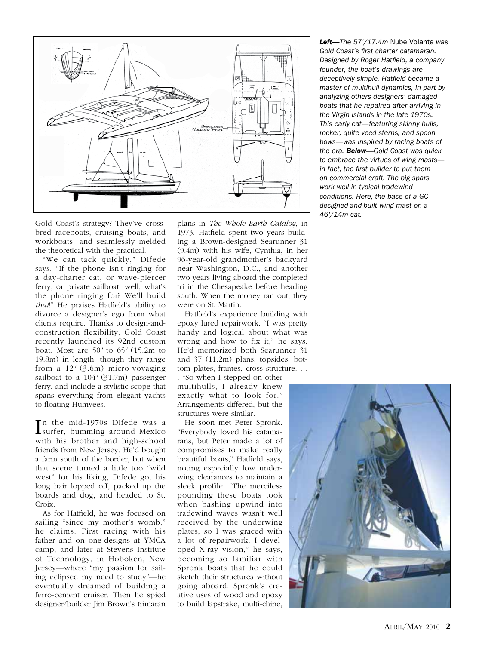

Gold Coast's strategy? They've crossbred raceboats, cruising boats, and workboats, and seamlessly melded the theoretical with the practical.

"We can tack quickly," Difede says. "If the phone isn't ringing for a day-charter cat, or wave-piercer ferry, or private sailboat, well, what's the phone ringing for? We'll build *that*!" He praises Hatfield's ability to divorce a designer's ego from what clients require. Thanks to design-andconstruction flexibility, Gold Coast recently launched its 92nd custom boat. Most are 50*'* to 65*'* (15.2m to 19.8m) in length, though they range from a 12*'* (3.6m) micro-voyaging sailboat to a 104*'* (31.7m) passenger ferry, and include a stylistic scope that spans everything from elegant yachts to floating Humvees.

In the mid-1970s Difede was a<br>Isurfer, bumming around Mexico surfer, bumming around Mexico with his brother and high-school friends from New Jersey. He'd bought a farm south of the border, but when that scene turned a little too "wild west" for his liking, Difede got his long hair lopped off, packed up the boards and dog, and headed to St. Croix.

As for Hatfield, he was focused on sailing "since my mother's womb," he claims. First racing with his father and on one-designs at YMCA camp, and later at Stevens Institute of Technology, in Hoboken, New Jersey—where "my passion for sailing eclipsed my need to study"—he eventually dreamed of building a ferro-cement cruiser. Then he spied designer/builder Jim Brown's trimaran

plans in *The Whole Earth Catalog*, in 1973. Hatfield spent two years building a Brown-designed Searunner 31 (9.4m) with his wife, Cynthia, in her 96-year-old grandmother's backyard near Washington, D.C., and another two years living aboard the completed tri in the Chesapeake before heading south. When the money ran out, they were on St. Martin.

Hatfield's experience building with epoxy lured repairwork. "I was pretty handy and logical about what was wrong and how to fix it," he says. He'd memorized both Searunner 31 and 37 (11.2m) plans: topsides, bottom plates, frames, cross structure. . .

. "So when I stepped on other multihulls, I already knew exactly what to look for." Arrangements differed, but the structures were similar.

He soon met Peter Spronk. "Everybody loved his catamarans, but Peter made a lot of compromises to make really beautiful boats," Hatfield says, noting especially low underwing clearances to maintain a sleek profile. "The merciless pounding these boats took when bashing upwind into tradewind waves wasn't well received by the underwing plates, so I was graced with a lot of repairwork. I developed X-ray vision," he says, becoming so familiar with Spronk boats that he could sketch their structures without going aboard. Spronk's creative uses of wood and epoxy to build lapstrake, multi-chine,

*Left—The 57'/17.4m* Nube Volante *was Gold Coast's first charter catamaran. Designed by Roger Hatfield, a company founder, the boat's drawings are deceptively simple. Hatfield became a master of multihull dynamics, in part by analyzing others designers' damaged boats that he repaired after arriving in the Virgin Islands in the late 1970s. This early cat—featuring skinny hulls, rocker, quite veed sterns, and spoon bows—was inspired by racing boats of the era. Below—Gold Coast was quick to embrace the virtues of wing masts in fact, the first builder to put them on commercial craft. The big spars work well in typical tradewind conditions. Here, the base of a GC designed-and-built wing mast on a 46'/14m cat.*

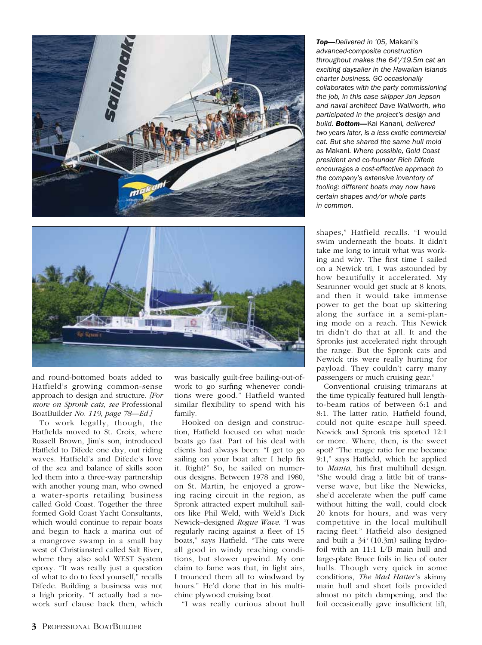

*Top—Delivered in '05,* Makani*'s advanced-composite construction throughout makes the 64'/19.5m cat an exciting daysailer in the Hawaiian Islands charter business. GC occasionally collaborates with the party commissioning the job, in this case skipper Jon Jepson and naval architect Dave Wallworth, who participated in the project's design and build. Bottom—*Kai Kanani*, delivered two years later, is a less exotic commercial cat. But she shared the same hull mold as* Makani*. Where possible, Gold Coast president and co-founder Rich Difede encourages a cost-effective approach to the company's extensive inventory of tooling: different boats may now have certain shapes and/or whole parts in common.* 



and round-bottomed boats added to Hatfield's growing common-sense approach to design and structure. *[For more on Spronk cats, see* Professional BoatBuilder *No. 119, page 78—Ed.]*

To work legally, though, the Hatfields moved to St. Croix, where Russell Brown, Jim's son, introduced Hatfield to Difede one day, out riding waves. Hatfield's and Difede's love of the sea and balance of skills soon led them into a three-way partnership with another young man, who owned a water-sports retailing business called Gold Coast. Together the three formed Gold Coast Yacht Consultants, which would continue to repair boats and begin to hack a marina out of a mangrove swamp in a small bay west of Christiansted called Salt River, where they also sold WEST System epoxy. "It was really just a question of what to do to feed yourself," recalls Difede. Building a business was not a high priority. "I actually had a nowork surf clause back then, which

was basically guilt-free bailing-out-ofwork to go surfing whenever conditions were good." Hatfield wanted similar flexibility to spend with his family.

Hooked on design and construction, Hatfield focused on what made boats go fast. Part of his deal with clients had always been: "I get to go sailing on your boat after I help fix it. Right?" So, he sailed on numerous designs. Between 1978 and 1980, on St. Martin, he enjoyed a growing racing circuit in the region, as Spronk attracted expert multihull sailors like Phil Weld, with Weld's Dick Newick–designed *Rogue Wave*. "I was regularly racing against a fleet of 15 boats," says Hatfield. "The cats were all good in windy reaching conditions, but slower upwind. My one claim to fame was that, in light airs, I trounced them all to windward by hours." He'd done that in his multichine plywood cruising boat.

"I was really curious about hull

swim underneath the boats. It didn't take me long to intuit what was working and why. The first time I sailed on a Newick tri, I was astounded by how beautifully it accelerated. My Searunner would get stuck at 8 knots, and then it would take immense power to get the boat up skittering along the surface in a semi-planing mode on a reach. This Newick tri didn't do that at all. It and the Spronks just accelerated right through the range. But the Spronk cats and Newick tris were really hurting for payload. They couldn't carry many passengers or much cruising gear."

shapes," Hatfield recalls. "I would

Conventional cruising trimarans at the time typically featured hull lengthto-beam ratios of between 6:1 and 8:1. The latter ratio, Hatfield found, could not quite escape hull speed. Newick and Spronk tris sported 12:1 or more. Where, then, is the sweet spot? "The magic ratio for me became 9:1," says Hatfield, which he applied to *Manta*, his first multihull design. "She would drag a little bit of transverse wave, but like the Newicks, she'd accelerate when the puff came without hitting the wall, could clock 20 knots for hours, and was very competitive in the local multihull racing fleet." Hatfield also designed and built a 34*'* (10.3m) sailing hydrofoil with an 11:1 L/B main hull and large-plate Bruce foils in lieu of outer hulls. Though very quick in some conditions, *The Mad Hatter*'s skinny main hull and short foils provided almost no pitch dampening, and the foil occasionally gave insufficient lift,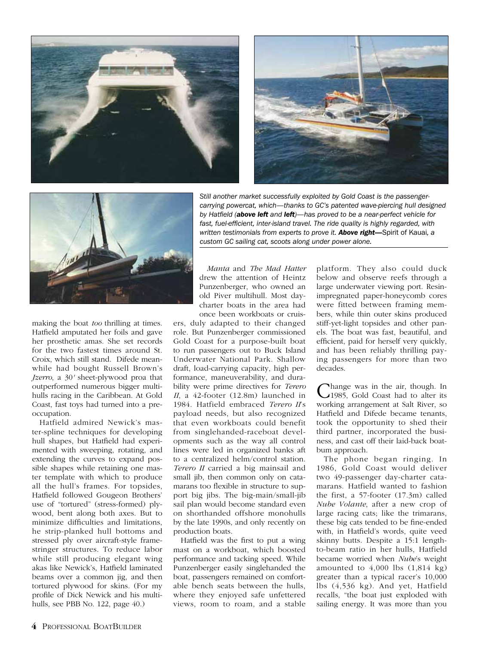



*Still another market successfully exploited by Gold Coast is the passengercarrying powercat, which—thanks to GC's patented wave-piercing hull designed by Hatfield (above left and left)—has proved to be a near-perfect vehicle for fast, fuel-efficient, inter-island travel. The ride quality is highly regarded, with written testimonials from experts to prove it. Above right—*Spirit of Kauai*, a* 



making the boat *too* thrilling at times. Hatfield amputated her foils and gave her prosthetic amas. She set records for the two fastest times around St. Croix, which still stand. Difede meanwhile had bought Russell Brown's *Jzerro*, a 30*'* sheet-plywood proa that outperformed numerous bigger multihulls racing in the Caribbean. At Gold Coast, fast toys had turned into a preoccupation.

Hatfield admired Newick's master-spline techniques for developing hull shapes, but Hatfield had experimented with sweeping, rotating, and extending the curves to expand possible shapes while retaining one master template with which to produce all the hull's frames. For topsides, Hatfield followed Gougeon Brothers' use of "tortured" (stress-formed) plywood, bent along both axes. But to minimize difficulties and limitations, he strip-planked hull bottoms and stressed ply over aircraft-style framestringer structures. To reduce labor while still producing elegant wing akas like Newick's, Hatfield laminated beams over a common jig, and then tortured plywood for skins. (For my profile of Dick Newick and his multihulls, see PBB No. 122, page 40.)

*Manta* and *The Mad Hatter* drew the attention of Heintz Punzenberger, who owned an old Piver multihull. Most daycharter boats in the area had

*custom GC sailing cat, scoots along under power alone.* 

once been workboats or cruisers, duly adapted to their changed role. But Punzenberger commissioned Gold Coast for a purpose-built boat to run passengers out to Buck Island Underwater National Park. Shallow draft, load-carrying capacity, high performance, maneuverability, and durability were prime directives for *Terero II*, a 42-footer (12.8m) launched in 1984. Hatfield embraced *Terero II*'s payload needs, but also recognized that even workboats could benefit from singlehanded-raceboat developments such as the way all control lines were led in organized banks aft to a centralized helm/control station. *Terero II* carried a big mainsail and small jib, then common only on catamarans too flexible in structure to support big jibs. The big-main/small-jib sail plan would become standard even on shorthanded offshore monohulls by the late 1990s, and only recently on production boats.

Hatfield was the first to put a wing mast on a workboat, which boosted performance and tacking speed. While Punzenberger easily singlehanded the boat, passengers remained on comfortable bench seats between the hulls, where they enjoyed safe unfettered views, room to roam, and a stable

platform. They also could duck below and observe reefs through a large underwater viewing port. Resinimpregnated paper-honeycomb cores were fitted between framing members, while thin outer skins produced stiff-yet-light topsides and other panels. The boat was fast, beautiful, and efficient, paid for herself very quickly, and has been reliably thrilling paying passengers for more than two decades.

Change was in the air, though. In 1985, Gold Coast had to alter its working arrangement at Salt River, so Hatfield and Difede became tenants, took the opportunity to shed their third partner, incorporated the business, and cast off their laid-back boatbum approach.

The phone began ringing. In 1986, Gold Coast would deliver two 49-passenger day-charter catamarans. Hatfield wanted to fashion the first, a 57-footer (17.3m) called *Nube Volante*, after a new crop of large racing cats; like the trimarans, these big cats tended to be fine-ended with, in Hatfield's words, quite veed skinny butts. Despite a 15:1 lengthto-beam ratio in her hulls, Hatfield became worried when *Nube*'s weight amounted to  $4.000$  lbs  $(1.814 \text{ kg})$ greater than a typical racer's 10,000 lbs (4,536 kg). And yet, Hatfield recalls, "the boat just exploded with sailing energy. It was more than you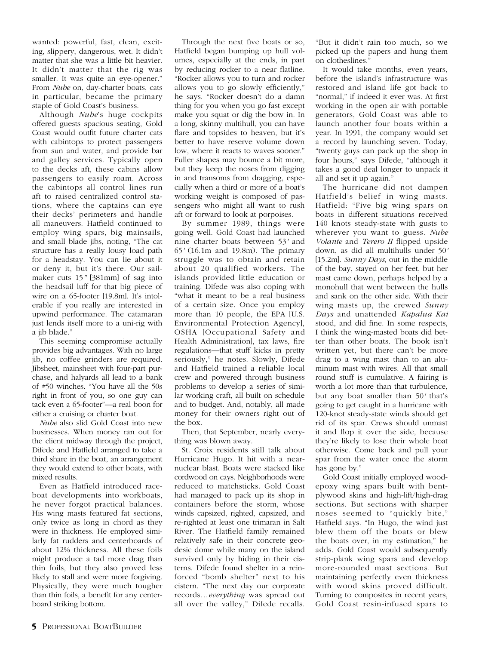wanted: powerful, fast, clean, exciting, slippery, dangerous, wet. It didn't matter that she was a little bit heavier. It didn't matter that the rig was smaller. It was quite an eye-opener." From *Nube* on, day-charter boats, cats in particular, became the primary staple of Gold Coast's business.

Although *Nube*'s huge cockpits offered guests spacious seating, Gold Coast would outfit future charter cats with cabintops to protect passengers from sun and water, and provide bar and galley services. Typically open to the decks aft, these cabins allow passengers to easily roam. Across the cabintops all control lines run aft to raised centralized control stations, where the captains can eye their decks' perimeters and handle all maneuvers. Hatfield continued to employ wing spars, big mainsails, and small blade jibs, noting, "The cat structure has a really lousy load path for a headstay. You can lie about it or deny it, but it's there. Our sailmaker cuts 15*"* [381mm] of sag into the headsail luff for that big piece of wire on a 65-footer [19.8m]. It's intolerable if you really are interested in upwind performance. The catamaran just lends itself more to a uni-rig with a jib blade."

This seeming compromise actually provides big advantages. With no large jib, no coffee grinders are required. Jibsheet, mainsheet with four-part purchase, and halyards all lead to a bank of #50 winches. "You have all the 50s right in front of you, so one guy can tack even a 65-footer"—a real boon for either a cruising or charter boat.

*Nube* also slid Gold Coast into new businesses. When money ran out for the client midway through the project, Difede and Hatfield arranged to take a third share in the boat, an arrangement they would extend to other boats, with mixed results.

Even as Hatfield introduced raceboat developments into workboats, he never forgot practical balances. His wing masts featured fat sections, only twice as long in chord as they were in thickness. He employed similarly fat rudders and centerboards of about 12% thickness. All these foils might produce a tad more drag than thin foils, but they also proved less likely to stall and were more forgiving. Physically, they were much tougher than thin foils, a benefit for any centerboard striking bottom.

Through the next five boats or so, Hatfield began bumping up hull volumes, especially at the ends, in part by reducing rocker to a near flatline. "Rocker allows you to turn and rocker allows you to go slowly efficiently," he says. "Rocker doesn't do a damn thing for you when you go fast except make you squat or dig the bow in. In a long, skinny multihull, you can have flare and topsides to heaven, but it's better to have reserve volume down low, where it reacts to waves sooner." Fuller shapes may bounce a bit more, but they keep the noses from digging in and transoms from dragging, especially when a third or more of a boat's working weight is composed of passengers who might all want to rush aft or forward to look at porpoises.

By summer 1989, things were going well. Gold Coast had launched nine charter boats between 53*'* and 65*'* (16.1m and 19.8m). The primary struggle was to obtain and retain about 20 qualified workers. The islands provided little education or training. Difede was also coping with "what it meant to be a real business of a certain size. Once you employ more than 10 people, the EPA [U.S. Environmental Protection Agency], OSHA [Occupational Safety and Health Administration], tax laws, fire regulations—that stuff kicks in pretty seriously," he notes. Slowly, Difede and Hatfield trained a reliable local crew and powered through business problems to develop a series of similar working craft, all built on schedule and to budget. And, notably, all made money for their owners right out of the box.

Then, that September, nearly everything was blown away.

St. Croix residents still talk about Hurricane Hugo. It hit with a nearnuclear blast. Boats were stacked like cordwood on cays. Neighborhoods were reduced to matchsticks. Gold Coast had managed to pack up its shop in containers before the storm, whose winds capsized, righted, capsized, and re-righted at least one trimaran in Salt River. The Hatfield family remained relatively safe in their concrete geodesic dome while many on the island survived only by hiding in their cisterns. Difede found shelter in a reinforced "bomb shelter" next to his cistern. "The next day our corporate records…*everything* was spread out all over the valley," Difede recalls.

"But it didn't rain too much, so we picked up the papers and hung them on clotheslines."

It would take months, even years, before the island's infrastructure was restored and island life got back to "normal," if indeed it ever was. At first working in the open air with portable generators, Gold Coast was able to launch another four boats within a year. In 1991, the company would set a record by launching seven. Today, "twenty guys can pack up the shop in four hours," says Difede, "although it takes a good deal longer to unpack it all and set it up again."

The hurricane did not dampen Hatfield's belief in wing masts. Hatfield: "Five big wing spars on boats in different situations received 140 knots steady-state with gusts to wherever you want to guess. *Nube Volante* and *Terero II* flipped upside down, as did all multihulls under 50*'* [15.2m]. *Sunny Days*, out in the middle of the bay, stayed on her feet, but her mast came down, perhaps helped by a monohull that went between the hulls and sank on the other side. With their wing masts up, the crewed *Sunny Days* and unattended *Kapalua Kai* stood, and did fine. In some respects, I think the wing-masted boats did better than other boats. The book isn't written yet, but there can't be more drag to a wing mast than to an aluminum mast with wires. All that small round stuff is cumulative. A fairing is worth a lot more than that turbulence, but any boat smaller than 50*'* that's going to get caught in a hurricane with 120-knot steady-state winds should get rid of its spar. Crews should unmast it and flop it over the side, because they're likely to lose their whole boat otherwise. Come back and pull your spar from the water once the storm has gone by."

Gold Coast initially employed woodepoxy wing spars built with bentplywood skins and high-lift/high-drag sections. But sections with sharper noses seemed to "quickly bite," Hatfield says. "In Hugo, the wind just blew them off the boats or blew the boats over, in my estimation," he adds. Gold Coast would subsequently strip-plank wing spars and develop more-rounded mast sections. But maintaining perfectly even thickness with wood skins proved difficult. Turning to composites in recent years, Gold Coast resin-infused spars to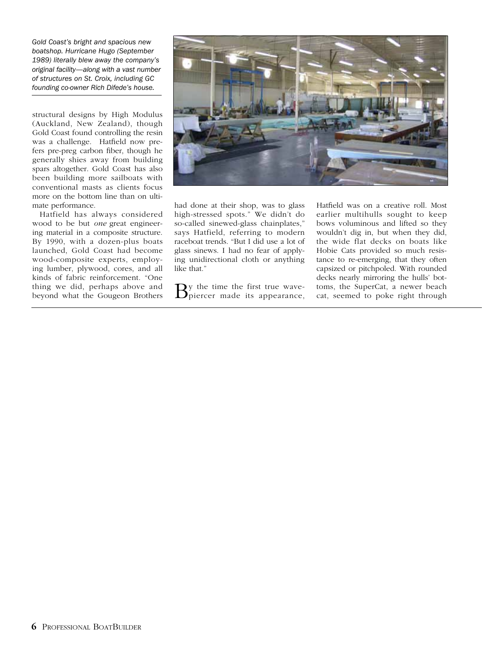*Gold Coast's bright and spacious new boatshop. Hurricane Hugo (September 1989) literally blew away the company's original facility—along with a vast number of structures on St. Croix, including GC founding co-owner Rich Difede's house.* 

structural designs by High Modulus (Auckland, New Zealand), though Gold Coast found controlling the resin was a challenge. Hatfield now prefers pre-preg carbon fiber, though he generally shies away from building spars altogether. Gold Coast has also been building more sailboats with conventional masts as clients focus more on the bottom line than on ultimate performance.

Hatfield has always considered wood to be but *one* great engineering material in a composite structure. By 1990, with a dozen-plus boats launched, Gold Coast had become wood-composite experts, employing lumber, plywood, cores, and all kinds of fabric reinforcement. "One thing we did, perhaps above and beyond what the Gougeon Brothers



had done at their shop, was to glass high-stressed spots." We didn't do so-called sinewed-glass chainplates," says Hatfield, referring to modern raceboat trends. "But I did use a lot of glass sinews. I had no fear of applying unidirectional cloth or anything like that."

 $B$ y the time the first true wave-<br>piercer made its appearance,

Hatfield was on a creative roll. Most earlier multihulls sought to keep bows voluminous and lifted so they wouldn't dig in, but when they did, the wide flat decks on boats like Hobie Cats provided so much resistance to re-emerging, that they often capsized or pitchpoled. With rounded decks nearly mirroring the hulls' bottoms, the SuperCat, a newer beach cat, seemed to poke right through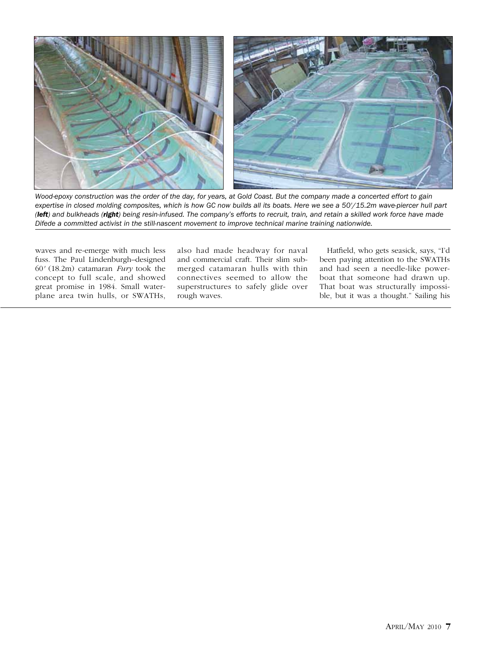

*Wood-epoxy construction was the order of the day, for years, at Gold Coast. But the company made a concerted effort to gain expertise in closed molding composites, which is how GC now builds all its boats. Here we see a 50'/15.2m wave-piercer hull part (left) and bulkheads (right) being resin-infused. The company's efforts to recruit, train, and retain a skilled work force have made Difede a committed activist in the still-nascent movement to improve technical marine training nationwide.* 

waves and re-emerge with much less fuss. The Paul Lindenburgh–designed 60*'* (18.2m) catamaran *Fury* took the concept to full scale, and showed great promise in 1984. Small waterplane area twin hulls, or SWATHs, also had made headway for naval and commercial craft. Their slim submerged catamaran hulls with thin connectives seemed to allow the superstructures to safely glide over rough waves.

Hatfield, who gets seasick, says, "I'd been paying attention to the SWATHs and had seen a needle-like powerboat that someone had drawn up. That boat was structurally impossible, but it was a thought." Sailing his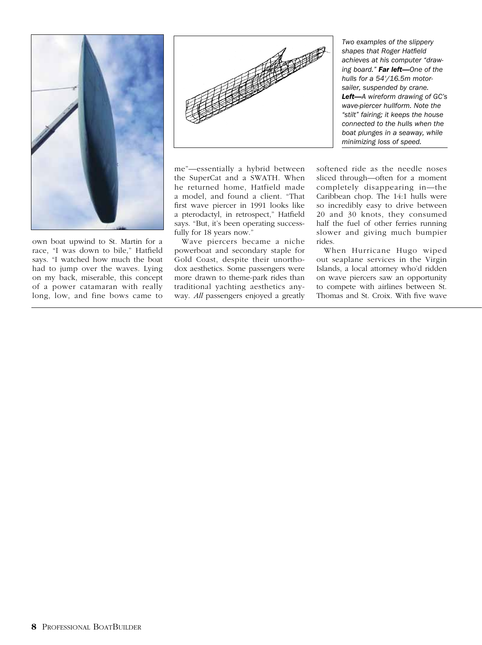

own boat upwind to St. Martin for a race, "I was down to bile," Hatfield says. "I watched how much the boat had to jump over the waves. Lying on my back, miserable, this concept of a power catamaran with really long, low, and fine bows came to



me"—essentially a hybrid between the SuperCat and a SWATH. When he returned home, Hatfield made a model, and found a client. "That first wave piercer in 1991 looks like a pterodactyl, in retrospect," Hatfield says. "But, it's been operating successfully for 18 years now."

Wave piercers became a niche powerboat and secondary staple for Gold Coast, despite their unorthodox aesthetics. Some passengers were more drawn to theme-park rides than traditional yachting aesthetics anyway. *All* passengers enjoyed a greatly

*Two examples of the slippery shapes that Roger Hatfield achieves at his computer "drawing board." Far left—One of the hulls for a 54'/16.5m motorsailer, suspended by crane. Left—A wireform drawing of GC's wave-piercer hullform. Note the "stilt" fairing; it keeps the house connected to the hulls when the boat plunges in a seaway, while minimizing loss of speed.* 

softened ride as the needle noses sliced through—often for a moment completely disappearing in—the Caribbean chop. The 14:1 hulls were so incredibly easy to drive between 20 and 30 knots, they consumed half the fuel of other ferries running slower and giving much bumpier rides.

When Hurricane Hugo wiped out seaplane services in the Virgin Islands, a local attorney who'd ridden on wave piercers saw an opportunity to compete with airlines between St. Thomas and St. Croix. With five wave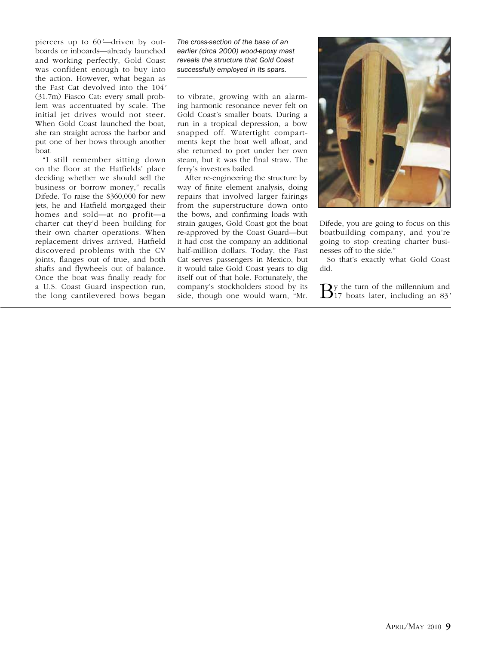piercers up to 60*'*—driven by outboards or inboards—already launched and working perfectly, Gold Coast was confident enough to buy into the action. However, what began as the Fast Cat devolved into the 104*'*  (31.7m) Fiasco Cat: every small problem was accentuated by scale. The initial jet drives would not steer. When Gold Coast launched the boat she ran straight across the harbor and put one of her bows through another boat.

"I still remember sitting down on the floor at the Hatfields' place deciding whether we should sell the business or borrow money," recalls Difede. To raise the \$360,000 for new jets, he and Hatfield mortgaged their homes and sold—at no profit—a charter cat they'd been building for their own charter operations. When replacement drives arrived, Hatfield discovered problems with the CV joints, flanges out of true, and both shafts and flywheels out of balance. Once the boat was finally ready for a U.S. Coast Guard inspection run, the long cantilevered bows began

*The cross-section of the base of an earlier (circa 2000) wood-epoxy mast reveals the structure that Gold Coast successfully employed in its spars.*

to vibrate, growing with an alarming harmonic resonance never felt on Gold Coast's smaller boats. During a run in a tropical depression, a bow snapped off. Watertight compartments kept the boat well afloat, and she returned to port under her own steam, but it was the final straw. The ferry's investors bailed.

After re-engineering the structure by way of finite element analysis, doing repairs that involved larger fairings from the superstructure down onto the bows, and confirming loads with strain gauges, Gold Coast got the boat re-approved by the Coast Guard—but it had cost the company an additional half-million dollars. Today, the Fast Cat serves passengers in Mexico, but it would take Gold Coast years to dig itself out of that hole. Fortunately, the company's stockholders stood by its side, though one would warn, "Mr.



Difede, you are going to focus on this boatbuilding company, and you're going to stop creating charter businesses off to the side."

So that's exactly what Gold Coast did.

By the turn of the millennium and 17 boats later, including an 83*'*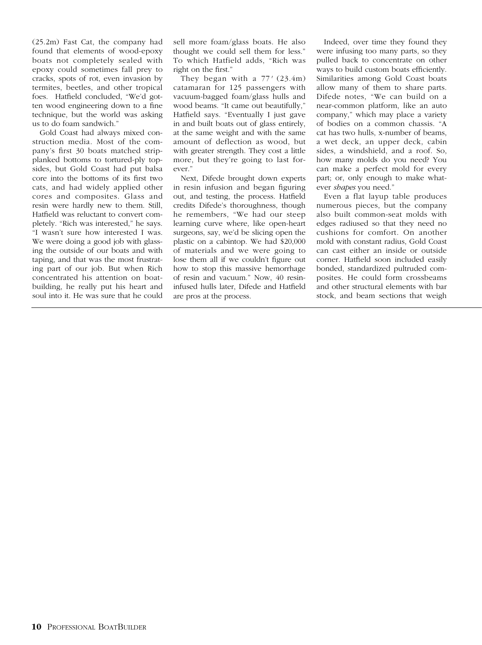(25.2m) Fast Cat, the company had found that elements of wood-epoxy boats not completely sealed with epoxy could sometimes fall prey to cracks, spots of rot, even invasion by termites, beetles, and other tropical foes. Hatfield concluded, "We'd gotten wood engineering down to a fine technique, but the world was asking us to do foam sandwich."

Gold Coast had always mixed construction media. Most of the company's first 30 boats matched stripplanked bottoms to tortured-ply topsides, but Gold Coast had put balsa core into the bottoms of its first two cats, and had widely applied other cores and composites. Glass and resin were hardly new to them. Still, Hatfield was reluctant to convert completely. "Rich was interested," he says. "I wasn't sure how interested I was. We were doing a good job with glassing the outside of our boats and with taping, and that was the most frustrating part of our job. But when Rich concentrated his attention on boatbuilding, he really put his heart and soul into it. He was sure that he could sell more foam/glass boats. He also thought we could sell them for less." To which Hatfield adds, "Rich was right on the first."

They began with a 77*'* (23.4m) catamaran for 125 passengers with vacuum-bagged foam/glass hulls and wood beams. "It came out beautifully," Hatfield says. "Eventually I just gave in and built boats out of glass entirely, at the same weight and with the same amount of deflection as wood, but with greater strength. They cost a little more, but they're going to last forever."

Next, Difede brought down experts in resin infusion and began figuring out, and testing, the process. Hatfield credits Difede's thoroughness, though he remembers, "We had our steep learning curve where, like open-heart surgeons, say, we'd be slicing open the plastic on a cabintop. We had \$20,000 of materials and we were going to lose them all if we couldn't figure out how to stop this massive hemorrhage of resin and vacuum." Now, 40 resininfused hulls later, Difede and Hatfield are pros at the process.

Indeed, over time they found they were infusing too many parts, so they pulled back to concentrate on other ways to build custom boats efficiently. Similarities among Gold Coast boats allow many of them to share parts. Difede notes, "We can build on a near-common platform, like an auto company," which may place a variety of bodies on a common chassis. "A cat has two hulls, x-number of beams, a wet deck, an upper deck, cabin sides, a windshield, and a roof. So, how many molds do you need? You can make a perfect mold for every part; or, only enough to make whatever *shapes* you need."

Even a flat layup table produces numerous pieces, but the company also built common-seat molds with edges radiused so that they need no cushions for comfort. On another mold with constant radius, Gold Coast can cast either an inside or outside corner. Hatfield soon included easily bonded, standardized pultruded composites. He could form crossbeams and other structural elements with bar stock, and beam sections that weigh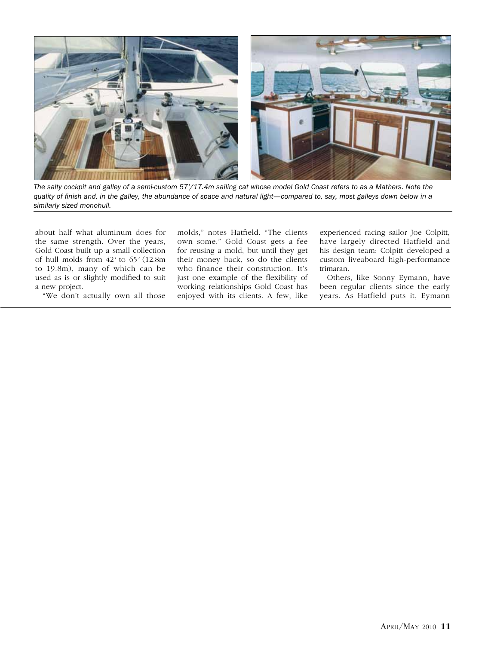

*The salty cockpit and galley of a semi-custom 57'/17.4m sailing cat whose model Gold Coast refers to as a Mathers. Note the quality of finish and, in the galley, the abundance of space and natural light—compared to, say, most galleys down below in a similarly sized monohull.* 

about half what aluminum does for the same strength. Over the years, Gold Coast built up a small collection of hull molds from 42*'* to 65*'* (12.8m to 19.8m), many of which can be used as is or slightly modified to suit a new project.

"We don't actually own all those

molds," notes Hatfield. "The clients own some." Gold Coast gets a fee for reusing a mold, but until they get their money back, so do the clients who finance their construction. It's just one example of the flexibility of working relationships Gold Coast has enjoyed with its clients. A few, like

experienced racing sailor Joe Colpitt, have largely directed Hatfield and his design team: Colpitt developed a custom liveaboard high-performance trimaran.

Others, like Sonny Eymann, have been regular clients since the early years. As Hatfield puts it, Eymann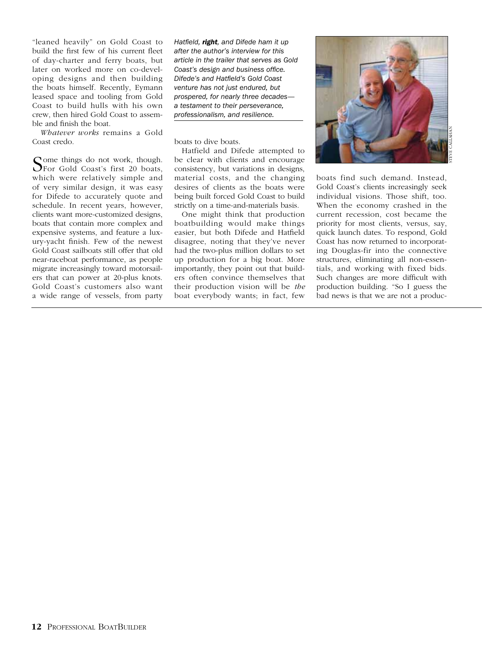"leaned heavily" on Gold Coast to build the first few of his current fleet of day-charter and ferry boats, but later on worked more on co-developing designs and then building the boats himself. Recently, Eymann leased space and tooling from Gold Coast to build hulls with his own crew, then hired Gold Coast to assemble and finish the boat.

*Whatever works* remains a Gold Coast credo.

Some things do not work, though.<br>
For Gold Coast's first 20 boats, which were relatively simple and of very similar design, it was easy for Difede to accurately quote and schedule. In recent years, however, clients want more-customized designs, boats that contain more complex and expensive systems, and feature a luxury-yacht finish. Few of the newest Gold Coast sailboats still offer that old near-raceboat performance, as people migrate increasingly toward motorsailers that can power at 20-plus knots. Gold Coast's customers also want a wide range of vessels, from party

*Hatfield, right, and Difede ham it up after the author's interview for this article in the trailer that serves as Gold Coast's design and business office. Difede's and Hatfield's Gold Coast venture has not just endured, but prospered, for nearly three decades a testament to their perseverance, professionalism, and resilience.*

boats to dive boats.

Hatfield and Difede attempted to be clear with clients and encourage consistency, but variations in designs, material costs, and the changing desires of clients as the boats were being built forced Gold Coast to build strictly on a time-and-materials basis.

One might think that production boatbuilding would make things easier, but both Difede and Hatfield disagree, noting that they've never had the two-plus million dollars to set up production for a big boat. More importantly, they point out that builders often convince themselves that their production vision will be *the* boat everybody wants; in fact, few



boats find such demand. Instead, Gold Coast's clients increasingly seek individual visions. Those shift, too. When the economy crashed in the current recession, cost became the priority for most clients, versus, say, quick launch dates. To respond, Gold Coast has now returned to incorporating Douglas-fir into the connective structures, eliminating all non-essentials, and working with fixed bids. Such changes are more difficult with production building. "So I guess the bad news is that we are not a produc